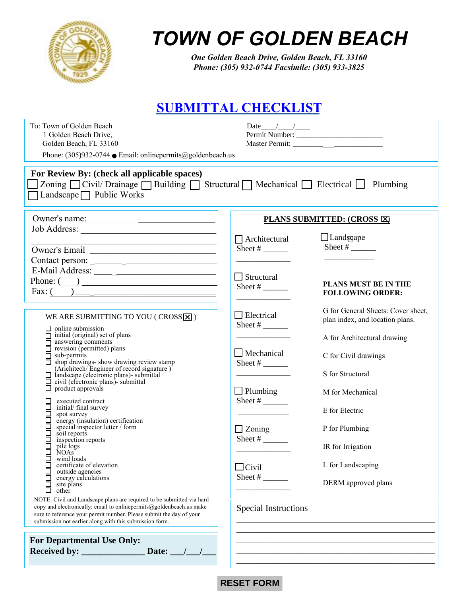

# *TOWN OF GOLDEN BEACH*

*One Golden Beach Drive, Golden Beach, FL 33160 Phone: (305) 932-0744 Facsimile: (305) 933-3825*

### **SUBMITTAL CHECKLIST**

| To: Town of Golden Beach<br>1 Golden Beach Drive,<br>Golden Beach, FL 33160<br>Phone: $(305)932-0744$ • Email: onlinepermits@goldenbeach.us                                                                                                                                                                                                                                                                                                                                                                                                                                                                                                                                                                                                                                                                                                                                                           | Date $\frac{1}{2}$ /                                                                                                                                         |                                                                                                                                                                                                                                                                           |
|-------------------------------------------------------------------------------------------------------------------------------------------------------------------------------------------------------------------------------------------------------------------------------------------------------------------------------------------------------------------------------------------------------------------------------------------------------------------------------------------------------------------------------------------------------------------------------------------------------------------------------------------------------------------------------------------------------------------------------------------------------------------------------------------------------------------------------------------------------------------------------------------------------|--------------------------------------------------------------------------------------------------------------------------------------------------------------|---------------------------------------------------------------------------------------------------------------------------------------------------------------------------------------------------------------------------------------------------------------------------|
| For Review By: (check all applicable spaces)<br>Zoning Civil/Drainage Building Structural Mechanical Blectrical Plumbing<br>Landscape $\Box$ Public Works                                                                                                                                                                                                                                                                                                                                                                                                                                                                                                                                                                                                                                                                                                                                             |                                                                                                                                                              |                                                                                                                                                                                                                                                                           |
|                                                                                                                                                                                                                                                                                                                                                                                                                                                                                                                                                                                                                                                                                                                                                                                                                                                                                                       | PLANS SUBMITTED: (CROSS E)                                                                                                                                   |                                                                                                                                                                                                                                                                           |
| the control of the control of the control of the control of the control of                                                                                                                                                                                                                                                                                                                                                                                                                                                                                                                                                                                                                                                                                                                                                                                                                            | $\Box$ Architectural<br>Sheet #                                                                                                                              | $\Box$ Landscape<br>Sheet # $\frac{$                                                                                                                                                                                                                                      |
| Phone: $\qquad \qquad$                                                                                                                                                                                                                                                                                                                                                                                                                                                                                                                                                                                                                                                                                                                                                                                                                                                                                | $\Box$ Structural<br>Sheet #                                                                                                                                 | <b>PLANS MUST BE IN THE</b><br><b>FOLLOWING ORDER:</b>                                                                                                                                                                                                                    |
| WE ARE SUBMITTING TO YOU (CROSS X)<br>$\Box$ online submission<br>$\Box$ initial (original) set of plans<br>$\overline{\Box}$ answering comments<br>$\overline{\Box}$ revision (permitted) plans<br>$\overline{\Box}$ sub-permits<br>$\Box$ shop drawings- show drawing review stamp<br>(Arichitech/Engineer of record signature)<br>$\Box$ landscape (electronic plans)- submittal<br>$\Box$ civil (electronic plans)- submittal<br>product approvals<br>⊔<br>executed contract<br>□<br>initial/ final survey<br>□<br>spot survey<br>energy (insulation) certification<br>special inspector letter / form<br>soil reports<br>inspection reports<br>pile logs<br>П<br>NOAs <sup>-</sup><br>wind loads<br>ப<br>certificate of elevation<br>П<br>outside agencies<br>П<br>energy calculations<br>П<br>site plans<br>□<br>other<br>NOTE: Civil and Landscape plans are required to be submitted via hard | $\Box$ Electrical<br>Sheet $#$<br>$\Box$ Mechanical<br>Sheet # $\frac{$<br>$\Box$ Plumbing<br>Sheet #<br>$\Box$ Zoning<br>Sheet #<br>$\Box$ Civil<br>Sheet # | G for General Sheets: Cover sheet,<br>plan index, and location plans.<br>A for Architectural drawing<br>C for Civil drawings<br>S for Structural<br>M for Mechanical<br>E for Electric<br>P for Plumbing<br>IR for Irrigation<br>L for Landscaping<br>DERM approved plans |
| copy and electronically: email to onlinepermits@goldenbeach.us make<br>sure to reference your permit number. Please submit the day of your<br>submission not earlier along with this submission form.                                                                                                                                                                                                                                                                                                                                                                                                                                                                                                                                                                                                                                                                                                 | <b>Special Instructions</b>                                                                                                                                  |                                                                                                                                                                                                                                                                           |
| <b>For Departmental Use Only:</b>                                                                                                                                                                                                                                                                                                                                                                                                                                                                                                                                                                                                                                                                                                                                                                                                                                                                     |                                                                                                                                                              |                                                                                                                                                                                                                                                                           |



 $\mathcal{L}_\text{max}$  and  $\mathcal{L}_\text{max}$  and  $\mathcal{L}_\text{max}$  and  $\mathcal{L}_\text{max}$